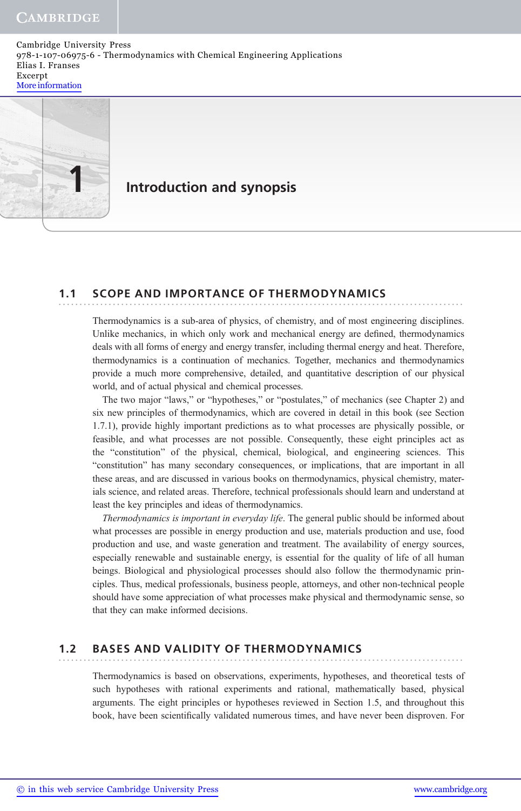Cambridge University Press 978-1-107-06975-6 - Thermodynamics with Chemical Engineering Applications Elias I. Franses Excerpt More information



### Introduction and synopsis

### 1.1 SCOPE AND IMPORTANCE OF THERMODYNAMICS .................................................................................................

Thermodynamics is a sub-area of physics, of chemistry, and of most engineering disciplines. Unlike mechanics, in which only work and mechanical energy are defined, thermodynamics deals with all forms of energy and energy transfer, including thermal energy and heat. Therefore, thermodynamics is a continuation of mechanics. Together, mechanics and thermodynamics provide a much more comprehensive, detailed, and quantitative description of our physical world, and of actual physical and chemical processes.

The two major "laws," or "hypotheses," or "postulates," of mechanics (see Chapter 2) and six new principles of thermodynamics, which are covered in detail in this book (see Section 1.7.1), provide highly important predictions as to what processes are physically possible, or feasible, and what processes are not possible. Consequently, these eight principles act as the "constitution" of the physical, chemical, biological, and engineering sciences. This "constitution" has many secondary consequences, or implications, that are important in all these areas, and are discussed in various books on thermodynamics, physical chemistry, materials science, and related areas. Therefore, technical professionals should learn and understand at least the key principles and ideas of thermodynamics.

Thermodynamics is important in everyday life. The general public should be informed about what processes are possible in energy production and use, materials production and use, food production and use, and waste generation and treatment. The availability of energy sources, especially renewable and sustainable energy, is essential for the quality of life of all human beings. Biological and physiological processes should also follow the thermodynamic principles. Thus, medical professionals, business people, attorneys, and other non-technical people should have some appreciation of what processes make physical and thermodynamic sense, so that they can make informed decisions.

#### 1.2 BASES AND VALIDITY OF THERMODYNAMICS .................................................................................................

Thermodynamics is based on observations, experiments, hypotheses, and theoretical tests of such hypotheses with rational experiments and rational, mathematically based, physical arguments. The eight principles or hypotheses reviewed in Section 1.5, and throughout this book, have been scientifically validated numerous times, and have never been disproven. For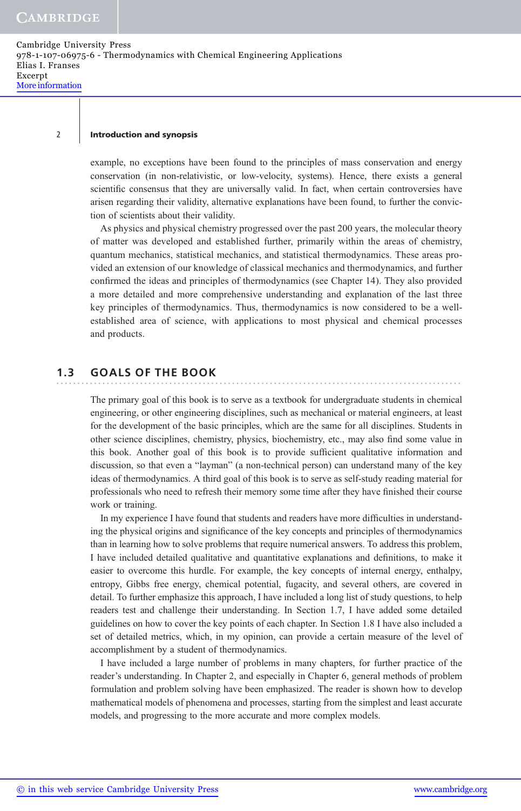### 2 | Introduction and synopsis

example, no exceptions have been found to the principles of mass conservation and energy conservation (in non-relativistic, or low-velocity, systems). Hence, there exists a general scientific consensus that they are universally valid. In fact, when certain controversies have arisen regarding their validity, alternative explanations have been found, to further the conviction of scientists about their validity.

As physics and physical chemistry progressed over the past 200 years, the molecular theory of matter was developed and established further, primarily within the areas of chemistry, quantum mechanics, statistical mechanics, and statistical thermodynamics. These areas provided an extension of our knowledge of classical mechanics and thermodynamics, and further confirmed the ideas and principles of thermodynamics (see Chapter 14). They also provided a more detailed and more comprehensive understanding and explanation of the last three key principles of thermodynamics. Thus, thermodynamics is now considered to be a wellestablished area of science, with applications to most physical and chemical processes and products.

#### 1.3 GOALS OF THE BOOK .................................................................................................

The primary goal of this book is to serve as a textbook for undergraduate students in chemical engineering, or other engineering disciplines, such as mechanical or material engineers, at least for the development of the basic principles, which are the same for all disciplines. Students in other science disciplines, chemistry, physics, biochemistry, etc., may also find some value in this book. Another goal of this book is to provide sufficient qualitative information and discussion, so that even a "layman" (a non-technical person) can understand many of the key ideas of thermodynamics. A third goal of this book is to serve as self-study reading material for professionals who need to refresh their memory some time after they have finished their course work or training.

In my experience I have found that students and readers have more difficulties in understanding the physical origins and significance of the key concepts and principles of thermodynamics than in learning how to solve problems that require numerical answers. To address this problem, I have included detailed qualitative and quantitative explanations and definitions, to make it easier to overcome this hurdle. For example, the key concepts of internal energy, enthalpy, entropy, Gibbs free energy, chemical potential, fugacity, and several others, are covered in detail. To further emphasize this approach, I have included a long list of study questions, to help readers test and challenge their understanding. In Section 1.7, I have added some detailed guidelines on how to cover the key points of each chapter. In Section 1.8 I have also included a set of detailed metrics, which, in my opinion, can provide a certain measure of the level of accomplishment by a student of thermodynamics.

I have included a large number of problems in many chapters, for further practice of the reader's understanding. In Chapter 2, and especially in Chapter 6, general methods of problem formulation and problem solving have been emphasized. The reader is shown how to develop mathematical models of phenomena and processes, starting from the simplest and least accurate models, and progressing to the more accurate and more complex models.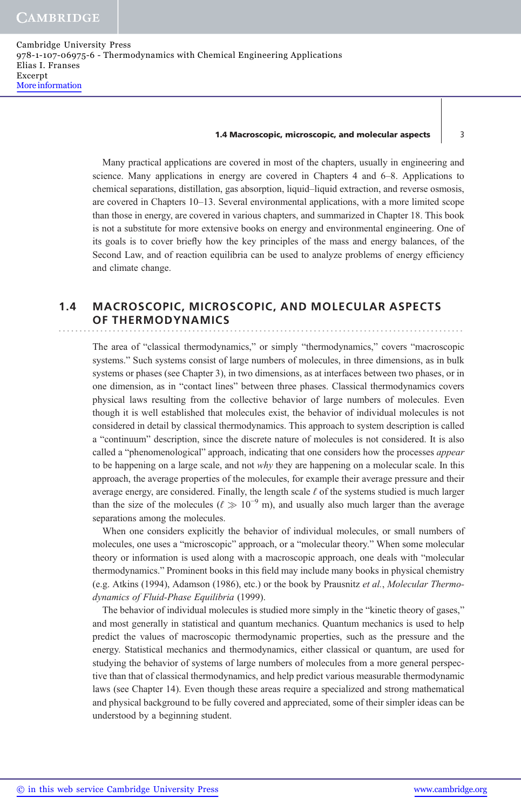#### 1.4 Macroscopic, microscopic, and molecular aspects  $\vert$  3

Many practical applications are covered in most of the chapters, usually in engineering and science. Many applications in energy are covered in Chapters 4 and 6–8. Applications to chemical separations, distillation, gas absorption, liquid–liquid extraction, and reverse osmosis, are covered in Chapters 10–13. Several environmental applications, with a more limited scope than those in energy, are covered in various chapters, and summarized in Chapter 18. This book is not a substitute for more extensive books on energy and environmental engineering. One of its goals is to cover briefly how the key principles of the mass and energy balances, of the Second Law, and of reaction equilibria can be used to analyze problems of energy efficiency and climate change.

### 1.4 MACROSCOPIC, MICROSCOPIC, AND MOLECULAR ASPECTS OF THERMODYNAMICS

The area of "classical thermodynamics," or simply "thermodynamics," covers "macroscopic systems." Such systems consist of large numbers of molecules, in three dimensions, as in bulk systems or phases (see Chapter 3), in two dimensions, as at interfaces between two phases, or in one dimension, as in "contact lines" between three phases. Classical thermodynamics covers physical laws resulting from the collective behavior of large numbers of molecules. Even though it is well established that molecules exist, the behavior of individual molecules is not considered in detail by classical thermodynamics. This approach to system description is called a "continuum" description, since the discrete nature of molecules is not considered. It is also called a "phenomenological" approach, indicating that one considers how the processes *appear* to be happening on a large scale, and not why they are happening on a molecular scale. In this approach, the average properties of the molecules, for example their average pressure and their average energy, are considered. Finally, the length scale  $\ell$  of the systems studied is much larger than the size of the molecules ( $\ell \gg 10^{-9}$  m), and usually also much larger than the average separations among the molecules.

When one considers explicitly the behavior of individual molecules, or small numbers of molecules, one uses a "microscopic" approach, or a "molecular theory." When some molecular theory or information is used along with a macroscopic approach, one deals with "molecular thermodynamics." Prominent books in this field may include many books in physical chemistry (e.g. Atkins (1994), Adamson (1986), etc.) or the book by Prausnitz et al., Molecular Thermodynamics of Fluid-Phase Equilibria (1999).

The behavior of individual molecules is studied more simply in the "kinetic theory of gases," and most generally in statistical and quantum mechanics. Quantum mechanics is used to help predict the values of macroscopic thermodynamic properties, such as the pressure and the energy. Statistical mechanics and thermodynamics, either classical or quantum, are used for studying the behavior of systems of large numbers of molecules from a more general perspective than that of classical thermodynamics, and help predict various measurable thermodynamic laws (see Chapter 14). Even though these areas require a specialized and strong mathematical and physical background to be fully covered and appreciated, some of their simpler ideas can be understood by a beginning student.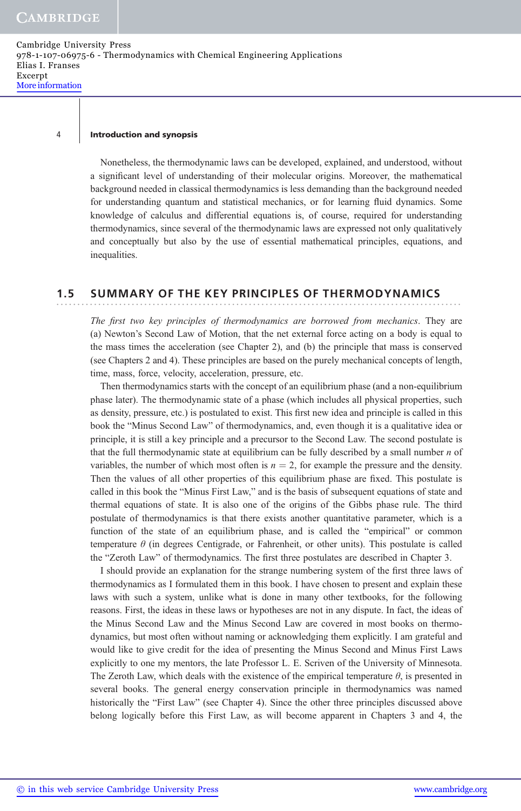#### 4 Introduction and synopsis

Nonetheless, the thermodynamic laws can be developed, explained, and understood, without a significant level of understanding of their molecular origins. Moreover, the mathematical background needed in classical thermodynamics is less demanding than the background needed for understanding quantum and statistical mechanics, or for learning fluid dynamics. Some knowledge of calculus and differential equations is, of course, required for understanding thermodynamics, since several of the thermodynamic laws are expressed not only qualitatively and conceptually but also by the use of essential mathematical principles, equations, and inequalities.

### 1.5 SUMMARY OF THE KEY PRINCIPLES OF THERMODYNAMICS

The first two key principles of thermodynamics are borrowed from mechanics. They are (a) Newton's Second Law of Motion, that the net external force acting on a body is equal to the mass times the acceleration (see Chapter 2), and (b) the principle that mass is conserved (see Chapters 2 and 4). These principles are based on the purely mechanical concepts of length, time, mass, force, velocity, acceleration, pressure, etc.

Then thermodynamics starts with the concept of an equilibrium phase (and a non-equilibrium phase later). The thermodynamic state of a phase (which includes all physical properties, such as density, pressure, etc.) is postulated to exist. This first new idea and principle is called in this book the "Minus Second Law" of thermodynamics, and, even though it is a qualitative idea or principle, it is still a key principle and a precursor to the Second Law. The second postulate is that the full thermodynamic state at equilibrium can be fully described by a small number  $n$  of variables, the number of which most often is  $n = 2$ , for example the pressure and the density. Then the values of all other properties of this equilibrium phase are fixed. This postulate is called in this book the "Minus First Law," and is the basis of subsequent equations of state and thermal equations of state. It is also one of the origins of the Gibbs phase rule. The third postulate of thermodynamics is that there exists another quantitative parameter, which is a function of the state of an equilibrium phase, and is called the "empirical" or common temperature  $\theta$  (in degrees Centigrade, or Fahrenheit, or other units). This postulate is called the "Zeroth Law" of thermodynamics. The first three postulates are described in Chapter 3.

I should provide an explanation for the strange numbering system of the first three laws of thermodynamics as I formulated them in this book. I have chosen to present and explain these laws with such a system, unlike what is done in many other textbooks, for the following reasons. First, the ideas in these laws or hypotheses are not in any dispute. In fact, the ideas of the Minus Second Law and the Minus Second Law are covered in most books on thermodynamics, but most often without naming or acknowledging them explicitly. I am grateful and would like to give credit for the idea of presenting the Minus Second and Minus First Laws explicitly to one my mentors, the late Professor L. E. Scriven of the University of Minnesota. The Zeroth Law, which deals with the existence of the empirical temperature  $\theta$ , is presented in several books. The general energy conservation principle in thermodynamics was named historically the "First Law" (see Chapter 4). Since the other three principles discussed above belong logically before this First Law, as will become apparent in Chapters 3 and 4, the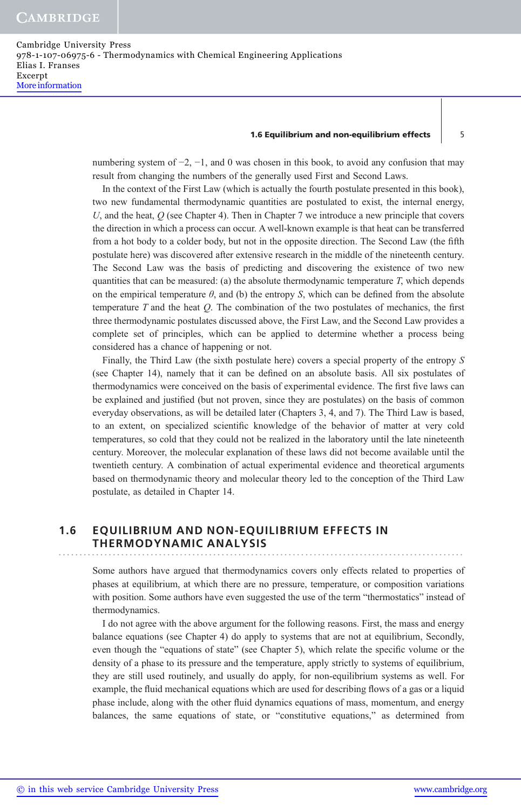### 1.6 Equilibrium and non-equilibrium effects  $\vert$  5

numbering system of  $-2$ ,  $-1$ , and 0 was chosen in this book, to avoid any confusion that may result from changing the numbers of the generally used First and Second Laws.

In the context of the First Law (which is actually the fourth postulate presented in this book), two new fundamental thermodynamic quantities are postulated to exist, the internal energy, U, and the heat,  $Q$  (see Chapter 4). Then in Chapter 7 we introduce a new principle that covers the direction in which a process can occur. A well-known example is that heat can be transferred from a hot body to a colder body, but not in the opposite direction. The Second Law (the fifth postulate here) was discovered after extensive research in the middle of the nineteenth century. The Second Law was the basis of predicting and discovering the existence of two new quantities that can be measured: (a) the absolute thermodynamic temperature  $T$ , which depends on the empirical temperature  $\theta$ , and (b) the entropy S, which can be defined from the absolute temperature  $T$  and the heat  $Q$ . The combination of the two postulates of mechanics, the first three thermodynamic postulates discussed above, the First Law, and the Second Law provides a complete set of principles, which can be applied to determine whether a process being considered has a chance of happening or not.

Finally, the Third Law (the sixth postulate here) covers a special property of the entropy S (see Chapter 14), namely that it can be defined on an absolute basis. All six postulates of thermodynamics were conceived on the basis of experimental evidence. The first five laws can be explained and justified (but not proven, since they are postulates) on the basis of common everyday observations, as will be detailed later (Chapters 3, 4, and 7). The Third Law is based, to an extent, on specialized scientific knowledge of the behavior of matter at very cold temperatures, so cold that they could not be realized in the laboratory until the late nineteenth century. Moreover, the molecular explanation of these laws did not become available until the twentieth century. A combination of actual experimental evidence and theoretical arguments based on thermodynamic theory and molecular theory led to the conception of the Third Law postulate, as detailed in Chapter 14.

### 1.6 EQUILIBRIUM AND NON-EQUILIBRIUM EFFECTS IN THERMODYNAMIC ANALYSIS

Some authors have argued that thermodynamics covers only effects related to properties of phases at equilibrium, at which there are no pressure, temperature, or composition variations with position. Some authors have even suggested the use of the term "thermostatics" instead of thermodynamics.

I do not agree with the above argument for the following reasons. First, the mass and energy balance equations (see Chapter 4) do apply to systems that are not at equilibrium, Secondly, even though the "equations of state" (see Chapter 5), which relate the specific volume or the density of a phase to its pressure and the temperature, apply strictly to systems of equilibrium, they are still used routinely, and usually do apply, for non-equilibrium systems as well. For example, the fluid mechanical equations which are used for describing flows of a gas or a liquid phase include, along with the other fluid dynamics equations of mass, momentum, and energy balances, the same equations of state, or "constitutive equations," as determined from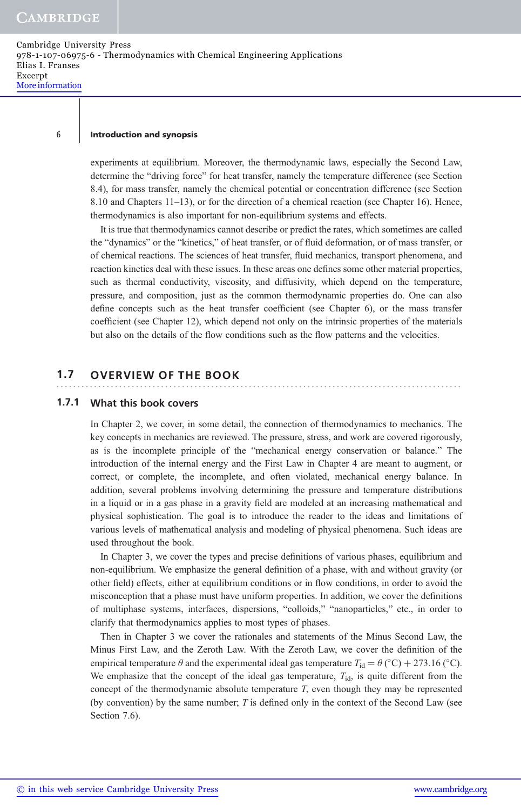### 6 Introduction and synopsis

experiments at equilibrium. Moreover, the thermodynamic laws, especially the Second Law, determine the "driving force" for heat transfer, namely the temperature difference (see Section 8.4), for mass transfer, namely the chemical potential or concentration difference (see Section 8.10 and Chapters 11–13), or for the direction of a chemical reaction (see Chapter 16). Hence, thermodynamics is also important for non-equilibrium systems and effects.

It is true that thermodynamics cannot describe or predict the rates, which sometimes are called the "dynamics" or the "kinetics," of heat transfer, or of fluid deformation, or of mass transfer, or of chemical reactions. The sciences of heat transfer, fluid mechanics, transport phenomena, and reaction kinetics deal with these issues. In these areas one defines some other material properties, such as thermal conductivity, viscosity, and diffusivity, which depend on the temperature, pressure, and composition, just as the common thermodynamic properties do. One can also define concepts such as the heat transfer coefficient (see Chapter 6), or the mass transfer coefficient (see Chapter 12), which depend not only on the intrinsic properties of the materials but also on the details of the flow conditions such as the flow patterns and the velocities.

### 1.7 OVERVIEW OF THE BOOK

### 1.7.1 What this book covers

In Chapter 2, we cover, in some detail, the connection of thermodynamics to mechanics. The key concepts in mechanics are reviewed. The pressure, stress, and work are covered rigorously, as is the incomplete principle of the "mechanical energy conservation or balance." The introduction of the internal energy and the First Law in Chapter 4 are meant to augment, or correct, or complete, the incomplete, and often violated, mechanical energy balance. In addition, several problems involving determining the pressure and temperature distributions in a liquid or in a gas phase in a gravity field are modeled at an increasing mathematical and physical sophistication. The goal is to introduce the reader to the ideas and limitations of various levels of mathematical analysis and modeling of physical phenomena. Such ideas are used throughout the book.

In Chapter 3, we cover the types and precise definitions of various phases, equilibrium and non-equilibrium. We emphasize the general definition of a phase, with and without gravity (or other field) effects, either at equilibrium conditions or in flow conditions, in order to avoid the misconception that a phase must have uniform properties. In addition, we cover the definitions of multiphase systems, interfaces, dispersions, "colloids," "nanoparticles," etc., in order to clarify that thermodynamics applies to most types of phases.

Then in Chapter 3 we cover the rationales and statements of the Minus Second Law, the Minus First Law, and the Zeroth Law. With the Zeroth Law, we cover the definition of the empirical temperature  $\theta$  and the experimental ideal gas temperature  $T_{\text{id}} = \theta$  (°C) + 273.16 (°C). We emphasize that the concept of the ideal gas temperature,  $T_{id}$ , is quite different from the concept of the thermodynamic absolute temperature T, even though they may be represented (by convention) by the same number;  $T$  is defined only in the context of the Second Law (see Section 7.6).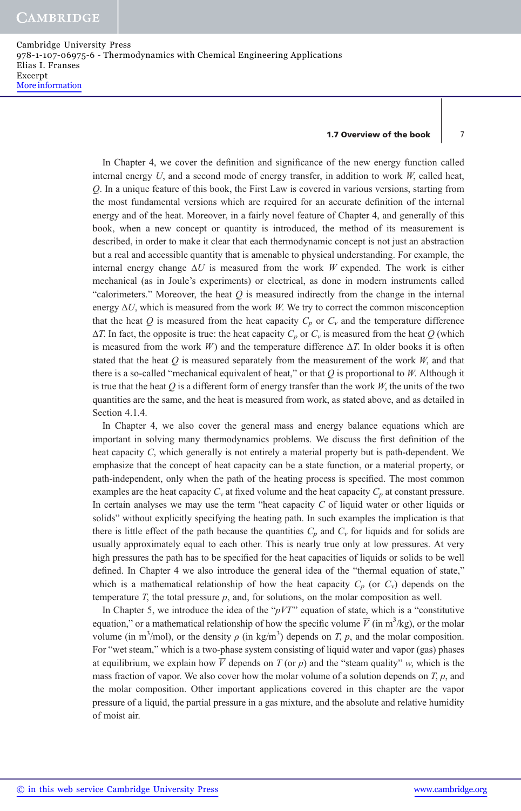Cambridge University Press 978-1-107-06975-6 - Thermodynamics with Chemical Engineering Applications Elias I. Franses Excerpt More information

### 1.7 Overview of the book 7

In Chapter 4, we cover the definition and significance of the new energy function called internal energy  $U$ , and a second mode of energy transfer, in addition to work  $W$ , called heat, Q. In a unique feature of this book, the First Law is covered in various versions, starting from the most fundamental versions which are required for an accurate definition of the internal energy and of the heat. Moreover, in a fairly novel feature of Chapter 4, and generally of this book, when a new concept or quantity is introduced, the method of its measurement is described, in order to make it clear that each thermodynamic concept is not just an abstraction but a real and accessible quantity that is amenable to physical understanding. For example, the internal energy change  $\Delta U$  is measured from the work W expended. The work is either mechanical (as in Joule's experiments) or electrical, as done in modern instruments called "calorimeters." Moreover, the heat  $Q$  is measured indirectly from the change in the internal energy  $\Delta U$ , which is measured from the work W. We try to correct the common misconception that the heat Q is measured from the heat capacity  $C_p$  or  $C_v$  and the temperature difference  $\Delta T$ . In fact, the opposite is true: the heat capacity  $C_p$  or  $C_v$  is measured from the heat Q (which is measured from the work W) and the temperature difference  $\Delta T$ . In older books it is often stated that the heat  $Q$  is measured separately from the measurement of the work  $W$ , and that there is a so-called "mechanical equivalent of heat," or that  $Q$  is proportional to  $W$ . Although it is true that the heat  $Q$  is a different form of energy transfer than the work  $W$ , the units of the two quantities are the same, and the heat is measured from work, as stated above, and as detailed in Section 4.1.4.

In Chapter 4, we also cover the general mass and energy balance equations which are important in solving many thermodynamics problems. We discuss the first definition of the heat capacity C, which generally is not entirely a material property but is path-dependent. We emphasize that the concept of heat capacity can be a state function, or a material property, or path-independent, only when the path of the heating process is specified. The most common examples are the heat capacity  $C_v$  at fixed volume and the heat capacity  $C_p$  at constant pressure. In certain analyses we may use the term "heat capacity  $C$  of liquid water or other liquids or solids" without explicitly specifying the heating path. In such examples the implication is that there is little effect of the path because the quantities  $C_p$  and  $C_v$  for liquids and for solids are usually approximately equal to each other. This is nearly true only at low pressures. At very high pressures the path has to be specified for the heat capacities of liquids or solids to be well defined. In Chapter 4 we also introduce the general idea of the "thermal equation of state," which is a mathematical relationship of how the heat capacity  $C_p$  (or  $C_v$ ) depends on the temperature T, the total pressure  $p$ , and, for solutions, on the molar composition as well.

In Chapter 5, we introduce the idea of the " $pVT$ " equation of state, which is a "constitutive" equation," or a mathematical relationship of how the specific volume  $\overline{V}$  (in m<sup>3</sup>/kg), or the molar volume (in m<sup>3</sup>/mol), or the density  $\rho$  (in kg/m<sup>3</sup>) depends on T, p, and the molar composition. For "wet steam," which is a two-phase system consisting of liquid water and vapor (gas) phases at equilibrium, we explain how  $\overline{V}$  depends on  $T$  (or p) and the "steam quality" w, which is the mass fraction of vapor. We also cover how the molar volume of a solution depends on  $T$ ,  $p$ , and the molar composition. Other important applications covered in this chapter are the vapor pressure of a liquid, the partial pressure in a gas mixture, and the absolute and relative humidity of moist air.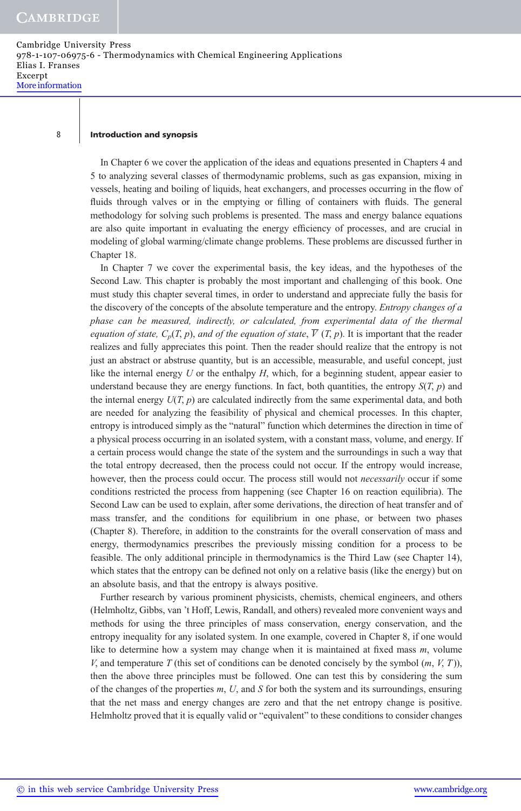### 8 | Introduction and synopsis

In Chapter 6 we cover the application of the ideas and equations presented in Chapters 4 and 5 to analyzing several classes of thermodynamic problems, such as gas expansion, mixing in vessels, heating and boiling of liquids, heat exchangers, and processes occurring in the flow of fluids through valves or in the emptying or filling of containers with fluids. The general methodology for solving such problems is presented. The mass and energy balance equations are also quite important in evaluating the energy efficiency of processes, and are crucial in modeling of global warming/climate change problems. These problems are discussed further in Chapter 18.

In Chapter 7 we cover the experimental basis, the key ideas, and the hypotheses of the Second Law. This chapter is probably the most important and challenging of this book. One must study this chapter several times, in order to understand and appreciate fully the basis for the discovery of the concepts of the absolute temperature and the entropy. *Entropy changes of a* phase can be measured, indirectly, or calculated, from experimental data of the thermal equation of state,  $C_p(T, p)$ , and of the equation of state,  $\overline{V}(T, p)$ . It is important that the reader realizes and fully appreciates this point. Then the reader should realize that the entropy is not just an abstract or abstruse quantity, but is an accessible, measurable, and useful concept, just like the internal energy  $U$  or the enthalpy  $H$ , which, for a beginning student, appear easier to understand because they are energy functions. In fact, both quantities, the entropy  $S(T, p)$  and the internal energy  $U(T, p)$  are calculated indirectly from the same experimental data, and both are needed for analyzing the feasibility of physical and chemical processes. In this chapter, entropy is introduced simply as the "natural" function which determines the direction in time of a physical process occurring in an isolated system, with a constant mass, volume, and energy. If a certain process would change the state of the system and the surroundings in such a way that the total entropy decreased, then the process could not occur. If the entropy would increase, however, then the process could occur. The process still would not *necessarily* occur if some conditions restricted the process from happening (see Chapter 16 on reaction equilibria). The Second Law can be used to explain, after some derivations, the direction of heat transfer and of mass transfer, and the conditions for equilibrium in one phase, or between two phases (Chapter 8). Therefore, in addition to the constraints for the overall conservation of mass and energy, thermodynamics prescribes the previously missing condition for a process to be feasible. The only additional principle in thermodynamics is the Third Law (see Chapter 14), which states that the entropy can be defined not only on a relative basis (like the energy) but on an absolute basis, and that the entropy is always positive.

Further research by various prominent physicists, chemists, chemical engineers, and others (Helmholtz, Gibbs, van 't Hoff, Lewis, Randall, and others) revealed more convenient ways and methods for using the three principles of mass conservation, energy conservation, and the entropy inequality for any isolated system. In one example, covered in Chapter 8, if one would like to determine how a system may change when it is maintained at fixed mass m, volume V, and temperature T (this set of conditions can be denoted concisely by the symbol  $(m, V, T)$ ), then the above three principles must be followed. One can test this by considering the sum of the changes of the properties  $m$ ,  $U$ , and  $S$  for both the system and its surroundings, ensuring that the net mass and energy changes are zero and that the net entropy change is positive. Helmholtz proved that it is equally valid or "equivalent" to these conditions to consider changes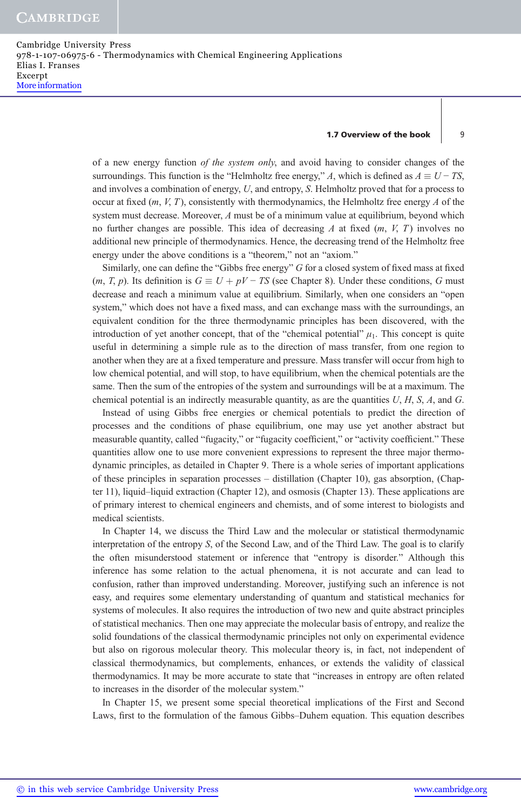Cambridge University Press 978-1-107-06975-6 - Thermodynamics with Chemical Engineering Applications Elias I. Franses Excerpt More information

#### 1.7 Overview of the book | 9

of a new energy function of the system only, and avoid having to consider changes of the surroundings. This function is the "Helmholtz free energy," A, which is defined as  $A \equiv U - TS$ , and involves a combination of energy, U, and entropy, S. Helmholtz proved that for a process to occur at fixed  $(m, V, T)$ , consistently with thermodynamics, the Helmholtz free energy A of the system must decrease. Moreover, A must be of a minimum value at equilibrium, beyond which no further changes are possible. This idea of decreasing A at fixed  $(m, V, T)$  involves no additional new principle of thermodynamics. Hence, the decreasing trend of the Helmholtz free energy under the above conditions is a "theorem," not an "axiom."

Similarly, one can define the "Gibbs free energy" G for a closed system of fixed mass at fixed  $(m, T, p)$ . Its definition is  $G \equiv U + pV - TS$  (see Chapter 8). Under these conditions, G must decrease and reach a minimum value at equilibrium. Similarly, when one considers an "open system," which does not have a fixed mass, and can exchange mass with the surroundings, an equivalent condition for the three thermodynamic principles has been discovered, with the introduction of yet another concept, that of the "chemical potential"  $\mu_1$ . This concept is quite useful in determining a simple rule as to the direction of mass transfer, from one region to another when they are at a fixed temperature and pressure. Mass transfer will occur from high to low chemical potential, and will stop, to have equilibrium, when the chemical potentials are the same. Then the sum of the entropies of the system and surroundings will be at a maximum. The chemical potential is an indirectly measurable quantity, as are the quantities  $U, H, S, A$ , and  $G$ .

Instead of using Gibbs free energies or chemical potentials to predict the direction of processes and the conditions of phase equilibrium, one may use yet another abstract but measurable quantity, called "fugacity," or "fugacity coefficient," or "activity coefficient." These quantities allow one to use more convenient expressions to represent the three major thermodynamic principles, as detailed in Chapter 9. There is a whole series of important applications of these principles in separation processes – distillation (Chapter 10), gas absorption, (Chapter 11), liquid–liquid extraction (Chapter 12), and osmosis (Chapter 13). These applications are of primary interest to chemical engineers and chemists, and of some interest to biologists and medical scientists.

In Chapter 14, we discuss the Third Law and the molecular or statistical thermodynamic interpretation of the entropy S, of the Second Law, and of the Third Law. The goal is to clarify the often misunderstood statement or inference that "entropy is disorder." Although this inference has some relation to the actual phenomena, it is not accurate and can lead to confusion, rather than improved understanding. Moreover, justifying such an inference is not easy, and requires some elementary understanding of quantum and statistical mechanics for systems of molecules. It also requires the introduction of two new and quite abstract principles of statistical mechanics. Then one may appreciate the molecular basis of entropy, and realize the solid foundations of the classical thermodynamic principles not only on experimental evidence but also on rigorous molecular theory. This molecular theory is, in fact, not independent of classical thermodynamics, but complements, enhances, or extends the validity of classical thermodynamics. It may be more accurate to state that "increases in entropy are often related to increases in the disorder of the molecular system."

In Chapter 15, we present some special theoretical implications of the First and Second Laws, first to the formulation of the famous Gibbs–Duhem equation. This equation describes